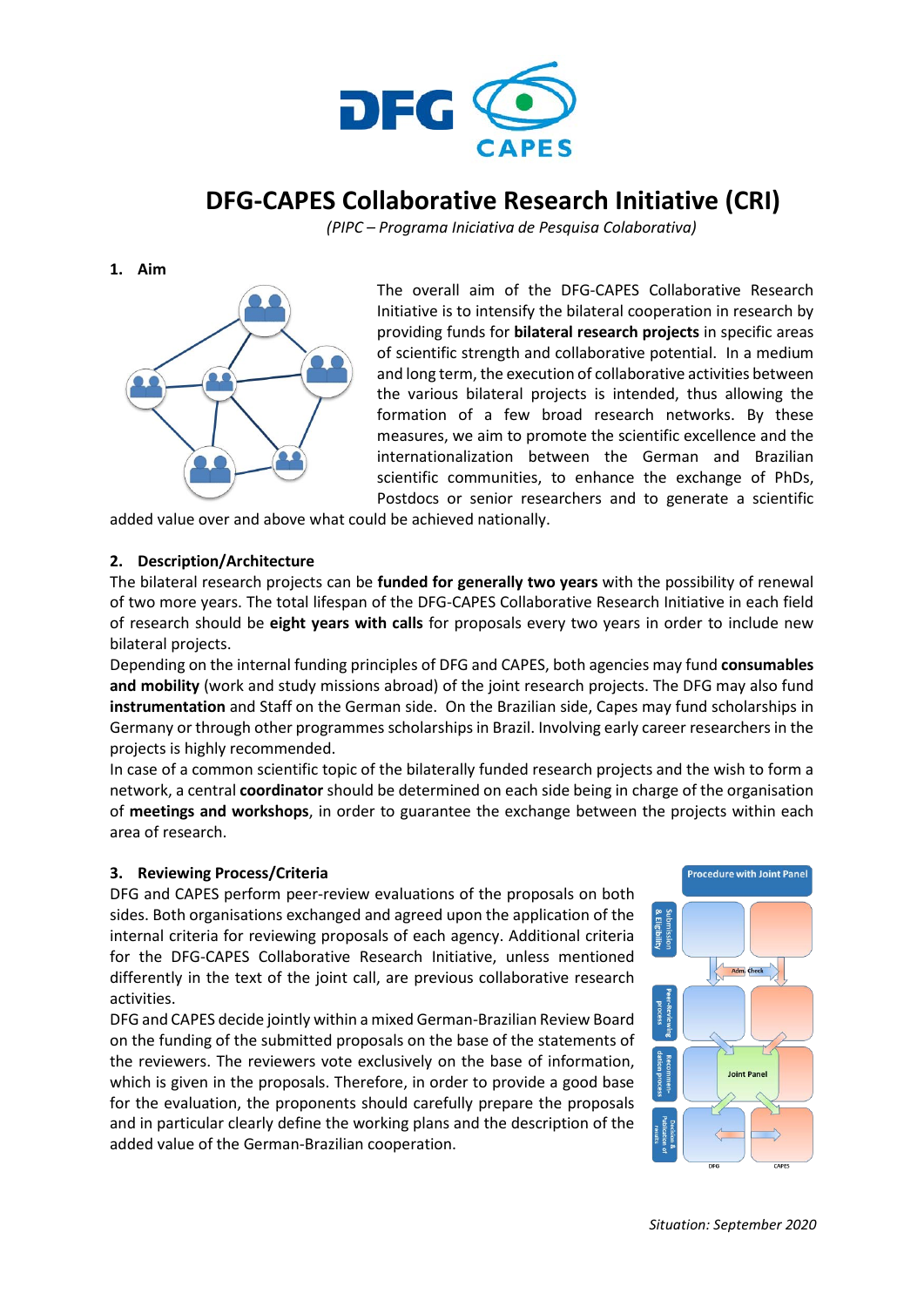

# **DFG-CAPES Collaborative Research Initiative (CRI)**

*(PIPC – Programa Iniciativa de Pesquisa Colaborativa)* 

**1. Aim**



The overall aim of the DFG-CAPES Collaborative Research Initiative is to intensify the bilateral cooperation in research by providing funds for **bilateral research projects** in specific areas of scientific strength and collaborative potential. In a medium and long term, the execution of collaborative activities between the various bilateral projects is intended, thus allowing the formation of a few broad research networks. By these measures, we aim to promote the scientific excellence and the internationalization between the German and Brazilian scientific communities, to enhance the exchange of PhDs, Postdocs or senior researchers and to generate a scientific

added value over and above what could be achieved nationally.

## **2. Description/Architecture**

The bilateral research projects can be **funded for generally two years** with the possibility of renewal of two more years. The total lifespan of the DFG-CAPES Collaborative Research Initiative in each field of research should be **eight years with calls** for proposals every two years in order to include new bilateral projects.

Depending on the internal funding principles of DFG and CAPES, both agencies may fund **consumables and mobility** (work and study missions abroad) of the joint research projects. The DFG may also fund **instrumentation** and Staff on the German side. On the Brazilian side, Capes may fund scholarships in Germany or through other programmes scholarships in Brazil. Involving early career researchers in the projects is highly recommended.

In case of a common scientific topic of the bilaterally funded research projects and the wish to form a network, a central **coordinator** should be determined on each side being in charge of the organisation of **meetings and workshops**, in order to guarantee the exchange between the projects within each area of research.

## **3. Reviewing Process/Criteria**

DFG and CAPES perform peer-review evaluations of the proposals on both sides. Both organisations exchanged and agreed upon the application of the internal criteria for reviewing proposals of each agency. Additional criteria for the DFG-CAPES Collaborative Research Initiative, unless mentioned differently in the text of the joint call, are previous collaborative research activities.

DFG and CAPES decide jointly within a mixed German-Brazilian Review Board on the funding of the submitted proposals on the base of the statements of the reviewers. The reviewers vote exclusively on the base of information, which is given in the proposals. Therefore, in order to provide a good base for the evaluation, the proponents should carefully prepare the proposals and in particular clearly define the working plans and the description of the added value of the German-Brazilian cooperation.